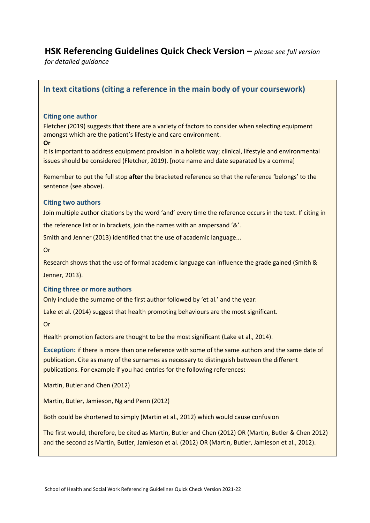# **HSK Referencing Guidelines Quick Check Version –** *please see full version*

*for detailed guidance* 

## **In text citations (citing a reference in the main body of your coursework)**

### **Citing one author**

Fletcher (2019) suggests that there are a variety of factors to consider when selecting equipment amongst which are the patient's lifestyle and care environment. **Or**

It is important to address equipment provision in a holistic way; clinical, lifestyle and environmental issues should be considered (Fletcher, 2019). [note name and date separated by a comma]

Remember to put the full stop **after** the bracketed reference so that the reference 'belongs' to the sentence (see above).

#### **Citing two authors**

Join multiple author citations by the word 'and' every time the reference occurs in the text. If citing in

the reference list or in brackets, join the names with an ampersand '&'.

Smith and Jenner (2013) identified that the use of academic language...

Or

Research shows that the use of formal academic language can influence the grade gained (Smith & Jenner, 2013).

#### **Citing three or more authors**

Only include the surname of the first author followed by 'et al.' and the year:

Lake et al. (2014) suggest that health promoting behaviours are the most significant.

Or

Health promotion factors are thought to be the most significant (Lake et al., 2014).

**Exception:** if there is more than one reference with some of the same authors and the same date of publication. Cite as many of the surnames as necessary to distinguish between the different publications. For example if you had entries for the following references:

Martin, Butler and Chen (2012)

Martin, Butler, Jamieson, Ng and Penn (2012)

Both could be shortened to simply (Martin et al., 2012) which would cause confusion

The first would, therefore, be cited as Martin, Butler and Chen (2012) OR (Martin, Butler & Chen 2012) and the second as Martin, Butler, Jamieson et al. (2012) OR (Martin, Butler, Jamieson et al., 2012).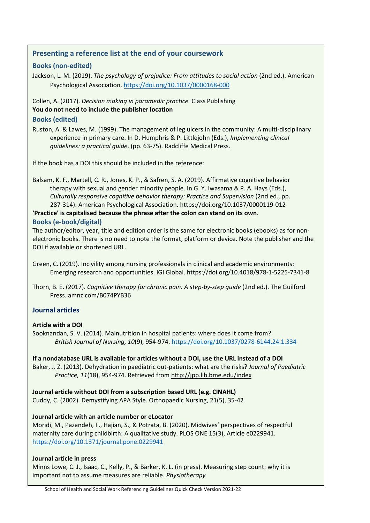## **Presenting a reference list at the end of your coursework**

### **Books (non-edited)**

Jackson, L. M. (2019). *The psychology of prejudice: From attitudes to social action* (2nd ed.). American Psychological Association. <https://doi.org/10.1037/0000168-000>

### Collen, A. (2017). *Decision making in paramedic practice.* Class Publishing **You do not need to include the publisher location**

### **Books (edited)**

Ruston, A. & Lawes, M. (1999). The management of leg ulcers in the community: A multi-disciplinary experience in primary care. In D. Humphris & P. Littlejohn (Eds.), *Implementing clinical guidelines: a practical guide*. (pp. 63-75). Radcliffe Medical Press.

If the book has a DOI this should be included in the reference:

Balsam, K. F., Martell, C. R., Jones, K. P., & Safren, S. A. (2019). Affirmative cognitive behavior therapy with sexual and gender minority people. In G. Y. Iwasama & P. A. Hays (Eds.), *Culturally responsive cognitive behavior therapy: Practice and Supervision* (2nd ed., pp. 287-314). American Psychological Association. https://doi.org/10.1037/0000119-012

# **'Practice' is capitalised because the phrase after the colon can stand on its own**.

#### **Books (e-book/digital)**

The author/editor, year, title and edition order is the same for electronic books (ebooks) as for nonelectronic books. There is no need to note the format, platform or device. Note the publisher and the DOI if available or shortened URL.

### **Journal articles**

### **Article with a DOI**

Sooknandan, S. V. (2014). Malnutrition in hospital patients: where does it come from? *British Journal of Nursing, 10*(9), 954-974.<https://doi.org/10.1037/0278-6144.24.1.334>

### **If a nondatabase URL is available for articles without a DOI, use the URL instead of a DOI**

Baker, J. Z. (2013). Dehydration in paediatric out-patients: what are the risks? *Journal of Paediatric Practice, 11*(18), 954-974. Retrieved fro[m http://jpp.lib.bme.edu/index](http://jpp.lib.bme.edu/index)

# **Journal article without DOI from a subscription based URL (e.g. CINAHL)**

Cuddy, C. (2002). Demystifying APA Style. Orthopaedic Nursing, 21(5), 35-42

### **Journal article with an article number or eLocator**

Moridi, M., Pazandeh, F., Hajian, S., & Potrata, B. (2020). Midwives' perspectives of respectful maternity care during childbirth: A qualitative study. PLOS ONE 15(3), Article e0229941. <https://doi.org/10.1371/journal.pone.0229941>

### **Journal article in press**

Minns Lowe, C. J., Isaac, C., Kelly, P., & Barker, K. L. (in press). Measuring step count: why it is important not to assume measures are reliable. *Physiotherapy*

Green, C. (2019). Incivility among nursing professionals in clinical and academic environments: Emerging research and opportunities. IGI Global. https://doi.org/10.4018/978-1-5225-7341-8

Thorn, B. E. (2017). *Cognitive therapy for chronic pain: A step-by-step guide* (2nd ed.). The Guilford Press. amnz.com/B074PYB36